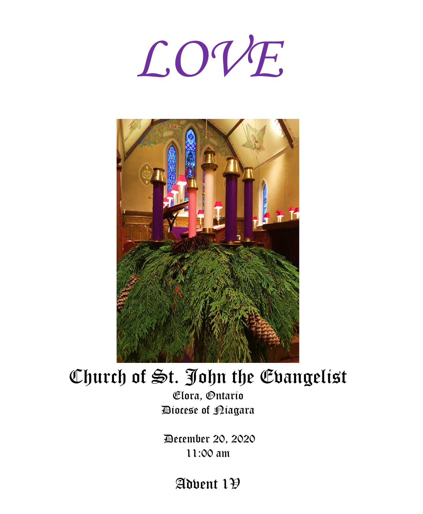



# Church of St. John the Evangelist

Elora, Ontario Diocese of Niagara

December 20, 2020 11:00 am

Advent  $1\overline{y}$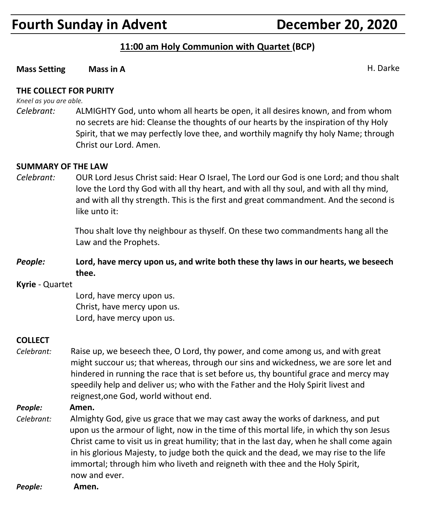# **Fourth Sunday in Advent Concrete Concrete Concrete Point Pecember 20, 2020**

#### **11:00 am Holy Communion with Quartet (BCP)**

#### **Mass Setting Mass in A Mass in A Mass A** H. Darke

#### **THE COLLECT FOR PURITY**

*Kneel as you are able.*

*Celebrant:* ALMIGHTY God, unto whom all hearts be open, it all desires known, and from whom no secrets are hid: Cleanse the thoughts of our hearts by the inspiration of thy Holy Spirit, that we may perfectly love thee, and worthily magnify thy holy Name; through Christ our Lord. Amen.

#### **SUMMARY OF THE LAW**

*Celebrant:* OUR Lord Jesus Christ said: Hear O Israel, The Lord our God is one Lord; and thou shalt love the Lord thy God with all thy heart, and with all thy soul, and with all thy mind, and with all thy strength. This is the first and great commandment. And the second is like unto it:

> Thou shalt love thy neighbour as thyself. On these two commandments hang all the Law and the Prophets.

*People:* **Lord, have mercy upon us, and write both these thy laws in our hearts, we beseech thee.**

#### **Kyrie** - Quartet

Lord, have mercy upon us. Christ, have mercy upon us. Lord, have mercy upon us.

#### **COLLECT**

*Celebrant:* Raise up, we beseech thee, O Lord, thy power, and come among us, and with great might succour us; that whereas, through our sins and wickedness, we are sore let and hindered in running the race that is set before us, thy bountiful grace and mercy may speedily help and deliver us; who with the Father and the Holy Spirit livest and reignest,one God, world without end.

#### *People:* **Amen.**

*Celebrant:* Almighty God, give us grace that we may cast away the works of darkness, and put upon us the armour of light, now in the time of this mortal life, in which thy son Jesus Christ came to visit us in great humility; that in the last day, when he shall come again in his glorious Majesty, to judge both the quick and the dead, we may rise to the life immortal; through him who liveth and reigneth with thee and the Holy Spirit, now and ever.

*People:* **Amen.**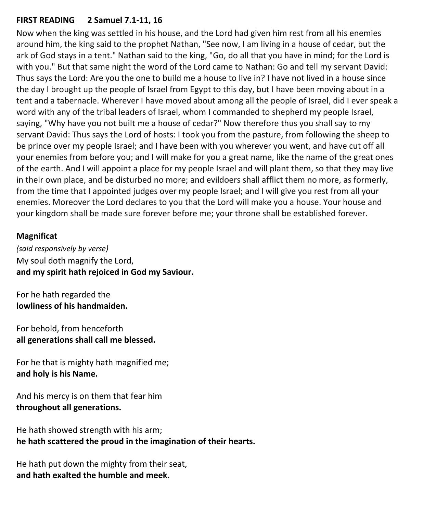#### **FIRST READING 2 Samuel 7.1-11, 16**

Now when the king was settled in his house, and the Lord had given him rest from all his enemies around him, the king said to the prophet Nathan, "See now, I am living in a house of cedar, but the ark of God stays in a tent." Nathan said to the king, "Go, do all that you have in mind; for the Lord is with you." But that same night the word of the Lord came to Nathan: Go and tell my servant David: Thus says the Lord: Are you the one to build me a house to live in? I have not lived in a house since the day I brought up the people of Israel from Egypt to this day, but I have been moving about in a tent and a tabernacle. Wherever I have moved about among all the people of Israel, did I ever speak a word with any of the tribal leaders of Israel, whom I commanded to shepherd my people Israel, saying, "Why have you not built me a house of cedar?" Now therefore thus you shall say to my servant David: Thus says the Lord of hosts: I took you from the pasture, from following the sheep to be prince over my people Israel; and I have been with you wherever you went, and have cut off all your enemies from before you; and I will make for you a great name, like the name of the great ones of the earth. And I will appoint a place for my people Israel and will plant them, so that they may live in their own place, and be disturbed no more; and evildoers shall afflict them no more, as formerly, from the time that I appointed judges over my people Israel; and I will give you rest from all your enemies. Moreover the Lord declares to you that the Lord will make you a house. Your house and your kingdom shall be made sure forever before me; your throne shall be established forever.

#### **Magnificat**

*(said responsively by verse)* My soul doth magnify the Lord, **and my spirit hath rejoiced in God my Saviour.**

For he hath regarded the **lowliness of his handmaiden.**

For behold, from henceforth **all generations shall call me blessed.**

For he that is mighty hath magnified me; **and holy is his Name.**

And his mercy is on them that fear him **throughout all generations.**

He hath showed strength with his arm; **he hath scattered the proud in the imagination of their hearts.**

He hath put down the mighty from their seat, **and hath exalted the humble and meek.**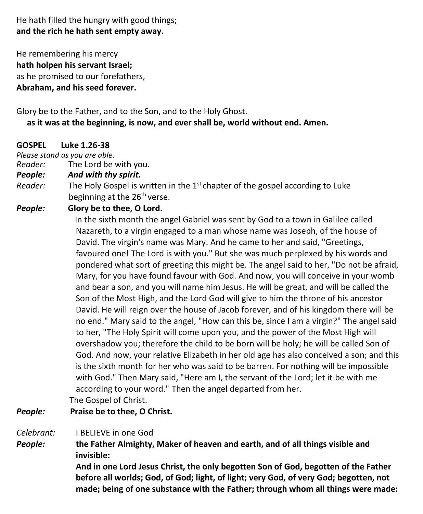He hath filled the hungry with good things; **and the rich he hath sent empty away.**

He remembering his mercy **hath holpen his servant Israel;** as he promised to our forefathers, **Abraham, and his seed forever.**

#### Glory be to the Father, and to the Son, and to the Holy Ghost.  **as it was at the beginning, is now, and ever shall be, world without end. Amen.**

#### **GOSPEL Luke 1.26-38**

*Please stand as you are able.*

*Reader:*The Lord be with you.

- *People: And with thy spirit.*
- Reader: The Holy Gospel is written in the 1<sup>st</sup> chapter of the gospel according to Luke beginning at the 26<sup>th</sup> verse.

#### *People:* **Glory be to thee, O Lord.**

 In the sixth month the angel Gabriel was sent by God to a town in Galilee called Nazareth, to a virgin engaged to a man whose name was Joseph, of the house of David. The virgin's name was Mary. And he came to her and said, "Greetings, favoured one! The Lord is with you." But she was much perplexed by his words and pondered what sort of greeting this might be. The angel said to her, "Do not be afraid, Mary, for you have found favour with God. And now, you will conceive in your womb and bear a son, and you will name him Jesus. He will be great, and will be called the Son of the Most High, and the Lord God will give to him the throne of his ancestor David. He will reign over the house of Jacob forever, and of his kingdom there will be no end." Mary said to the angel, "How can this be, since I am a virgin?" The angel said to her, "The Holy Spirit will come upon you, and the power of the Most High will overshadow you; therefore the child to be born will be holy; he will be called Son of God. And now, your relative Elizabeth in her old age has also conceived a son; and this is the sixth month for her who was said to be barren. For nothing will be impossible with God." Then Mary said, "Here am I, the servant of the Lord; let it be with me according to your word." Then the angel departed from her.

The Gospel of Christ.

#### *People:* **Praise be to thee, O Christ.**

#### *Celebrant:* I BELIEVE in one God

*People:* **the Father Almighty, Maker of heaven and earth, and of all things visible and invisible:**

> **And in one Lord Jesus Christ, the only begotten Son of God, begotten of the Father before all worlds; God, of God; light, of light; very God, of very God; begotten, not made; being of one substance with the Father; through whom all things were made:**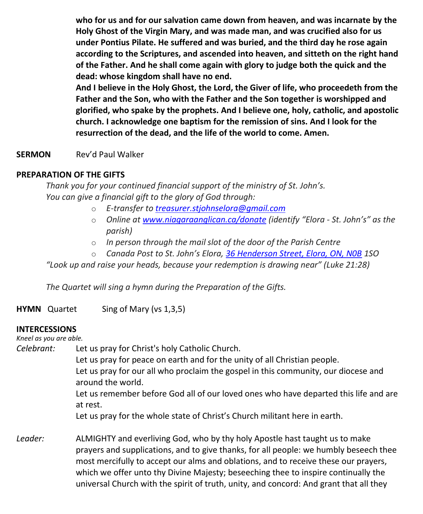**who for us and for our salvation came down from heaven, and was incarnate by the Holy Ghost of the Virgin Mary, and was made man, and was crucified also for us under Pontius Pilate. He suffered and was buried, and the third day he rose again according to the Scriptures, and ascended into heaven, and sitteth on the right hand of the Father. And he shall come again with glory to judge both the quick and the dead: whose kingdom shall have no end.**

**And I believe in the Holy Ghost, the Lord, the Giver of life, who proceedeth from the Father and the Son, who with the Father and the Son together is worshipped and glorified, who spake by the prophets. And I believe one, holy, catholic, and apostolic church. I acknowledge one baptism for the remission of sins. And I look for the resurrection of the dead, and the life of the world to come. Amen.**

#### **SERMON** Rev'd Paul Walker

#### **PREPARATION OF THE GIFTS**

*Thank you for your continued financial support of the ministry of St. John's. You can give a financial gift to the glory of God through:*

- o *E-transfer to [treasurer.stjohnselora@gmail.com](mailto:treasurer.stjohnselora@gmail.com)*
- o *Online at [www.niagaraanglican.ca/donate](http://www.niagaraanglican.ca/donate) (identify "Elora - St. John's" as the parish)*
- o *In person through the mail slot of the door of the Parish Centre*
- o *Canada Post to St. John's Elora, [36 Henderson Street, Elora, ON, N0B](https://www.google.com/maps/search/36+Henderson+Street,+Elora,+ON,+N0B?entry=gmail&source=g) 1SO*

*"Look up and raise your heads, because your redemption is drawing near" (Luke 21:28)*

*The Quartet will sing a hymn during the Preparation of the Gifts.*

**HYMN** Quartet Sing of Mary (vs 1,3,5)

#### **INTERCESSIONS**

*Kneel as you are able.*

*Celebrant:* Let us pray for Christ's holy Catholic Church.

Let us pray for peace on earth and for the unity of all Christian people. Let us pray for our all who proclaim the gospel in this community, our diocese and around the world.

Let us remember before God all of our loved ones who have departed this life and are at rest.

Let us pray for the whole state of Christ's Church militant here in earth.

*Leader:* ALMIGHTY and everliving God, who by thy holy Apostle hast taught us to make prayers and supplications, and to give thanks, for all people: we humbly beseech thee most mercifully to accept our alms and oblations, and to receive these our prayers, which we offer unto thy Divine Majesty; beseeching thee to inspire continually the universal Church with the spirit of truth, unity, and concord: And grant that all they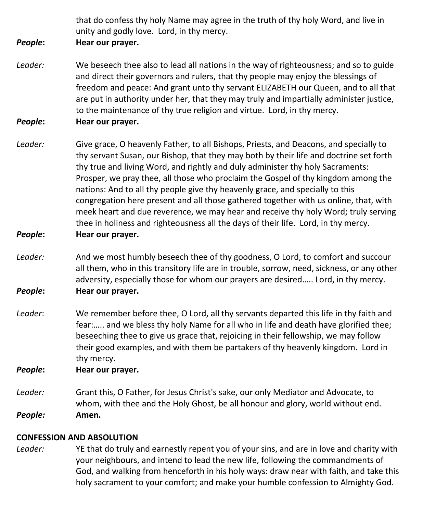that do confess thy holy Name may agree in the truth of thy holy Word, and live in unity and godly love. Lord, in thy mercy.

#### *People***: Hear our prayer.**

- *Leader:* We beseech thee also to lead all nations in the way of righteousness; and so to guide and direct their governors and rulers, that thy people may enjoy the blessings of freedom and peace: And grant unto thy servant ELIZABETH our Queen, and to all that are put in authority under her, that they may truly and impartially administer justice, to the maintenance of thy true religion and virtue. Lord, in thy mercy.
- *People***: Hear our prayer.**
- *Leader:* Give grace, O heavenly Father, to all Bishops, Priests, and Deacons, and specially to thy servant Susan, our Bishop, that they may both by their life and doctrine set forth thy true and living Word, and rightly and duly administer thy holy Sacraments: Prosper, we pray thee, all those who proclaim the Gospel of thy kingdom among the nations: And to all thy people give thy heavenly grace, and specially to this congregation here present and all those gathered together with us online, that, with meek heart and due reverence, we may hear and receive thy holy Word; truly serving thee in holiness and righteousness all the days of their life. Lord, in thy mercy.
- *People***: Hear our prayer.**
- *Leader:* And we most humbly beseech thee of thy goodness, O Lord, to comfort and succour all them, who in this transitory life are in trouble, sorrow, need, sickness, or any other adversity, especially those for whom our prayers are desired….. Lord, in thy mercy. *People***: Hear our prayer.**
- *Leader*: We remember before thee, O Lord, all thy servants departed this life in thy faith and fear:….. and we bless thy holy Name for all who in life and death have glorified thee; beseeching thee to give us grace that, rejoicing in their fellowship, we may follow their good examples, and with them be partakers of thy heavenly kingdom. Lord in thy mercy.

*People***: Hear our prayer.**

*Leader:* Grant this, O Father, for Jesus Christ's sake, our only Mediator and Advocate, to whom, with thee and the Holy Ghost, be all honour and glory, world without end. *People:* **Amen.**

#### **CONFESSION AND ABSOLUTION**

*Leader:* YE that do truly and earnestly repent you of your sins, and are in love and charity with your neighbours, and intend to lead the new life, following the commandments of God, and walking from henceforth in his holy ways: draw near with faith, and take this holy sacrament to your comfort; and make your humble confession to Almighty God.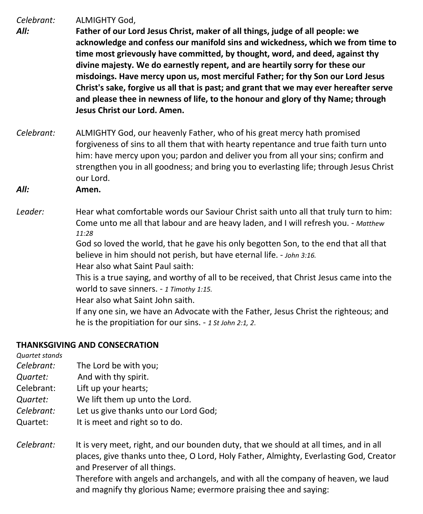*Celebrant:* ALMIGHTY God,

- *All:* **Father of our Lord Jesus Christ, maker of all things, judge of all people: we acknowledge and confess our manifold sins and wickedness, which we from time to time most grievously have committed, by thought, word, and deed, against thy divine majesty. We do earnestly repent, and are heartily sorry for these our misdoings. Have mercy upon us, most merciful Father; for thy Son our Lord Jesus Christ's sake, forgive us all that is past; and grant that we may ever hereafter serve and please thee in newness of life, to the honour and glory of thy Name; through Jesus Christ our Lord. Amen.**
- *Celebrant:* ALMIGHTY God, our heavenly Father, who of his great mercy hath promised forgiveness of sins to all them that with hearty repentance and true faith turn unto him: have mercy upon you; pardon and deliver you from all your sins; confirm and strengthen you in all goodness; and bring you to everlasting life; through Jesus Christ our Lord.
- *All:* **Amen.**
- *Leader:* Hear what comfortable words our Saviour Christ saith unto all that truly turn to him: Come unto me all that labour and are heavy laden, and I will refresh you. - *Matthew 11:28*

God so loved the world, that he gave his only begotten Son, to the end that all that believe in him should not perish, but have eternal life. - *John 3:16.*

Hear also what Saint Paul saith:

This is a true saying, and worthy of all to be received, that Christ Jesus came into the world to save sinners. - *1 Timothy 1:15.*

Hear also what Saint John saith.

If any one sin, we have an Advocate with the Father, Jesus Christ the righteous; and he is the propitiation for our sins. - *1 St John 2:1, 2*.

#### **THANKSGIVING AND CONSECRATION**

*Quartet stands*

- *Celebrant:* The Lord be with you;
- *Quartet:* And with thy spirit.
- Celebrant: Lift up your hearts;
- *Quartet:* We lift them up unto the Lord.
- *Celebrant:* Let us give thanks unto our Lord God;
- Quartet: It is meet and right so to do.
- *Celebrant:* It is very meet, right, and our bounden duty, that we should at all times, and in all places, give thanks unto thee, O Lord, Holy Father, Almighty, Everlasting God, Creator and Preserver of all things. Therefore with angels and archangels, and with all the company of heaven, we laud

and magnify thy glorious Name; evermore praising thee and saying: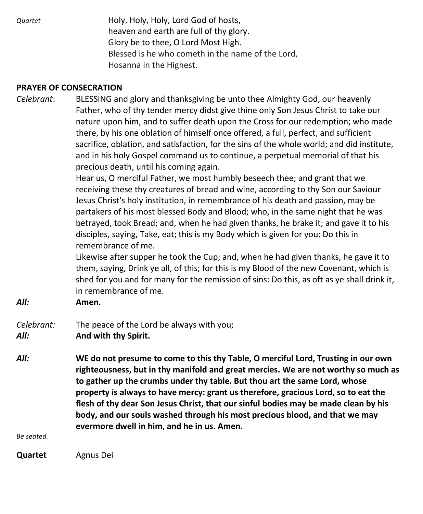*Quartet* Holy, Holy, Holy, Lord God of hosts, heaven and earth are full of thy glory. Glory be to thee, O Lord Most High. Blessed is he who cometh in the name of the Lord, Hosanna in the Highest.

#### **PRAYER OF CONSECRATION**

*Celebrant*: BLESSING and glory and thanksgiving be unto thee Almighty God, our heavenly Father, who of thy tender mercy didst give thine only Son Jesus Christ to take our nature upon him, and to suffer death upon the Cross for our redemption; who made there, by his one oblation of himself once offered, a full, perfect, and sufficient sacrifice, oblation, and satisfaction, for the sins of the whole world; and did institute, and in his holy Gospel command us to continue, a perpetual memorial of that his precious death, until his coming again.

> Hear us, O merciful Father, we most humbly beseech thee; and grant that we receiving these thy creatures of bread and wine, according to thy Son our Saviour Jesus Christ's holy institution, in remembrance of his death and passion, may be partakers of his most blessed Body and Blood; who, in the same night that he was betrayed, took Bread; and, when he had given thanks, he brake it; and gave it to his disciples, saying, Take, eat; this is my Body which is given for you: Do this in remembrance of me.

Likewise after supper he took the Cup; and, when he had given thanks, he gave it to them, saying, Drink ye all, of this; for this is my Blood of the new Covenant, which is shed for you and for many for the remission of sins: Do this, as oft as ye shall drink it, in remembrance of me.

*All:* **Amen.**

#### *Celebrant:* The peace of the Lord be always with you; *All:* **And with thy Spirit.**

*All:* **WE do not presume to come to this thy Table, O merciful Lord, Trusting in our own righteousness, but in thy manifold and great mercies. We are not worthy so much as to gather up the crumbs under thy table. But thou art the same Lord, whose property is always to have mercy: grant us therefore, gracious Lord, so to eat the flesh of thy dear Son Jesus Christ, that our sinful bodies may be made clean by his body, and our souls washed through his most precious blood, and that we may evermore dwell in him, and he in us. Amen.**

*Be seated.*

**Quartet** Agnus Dei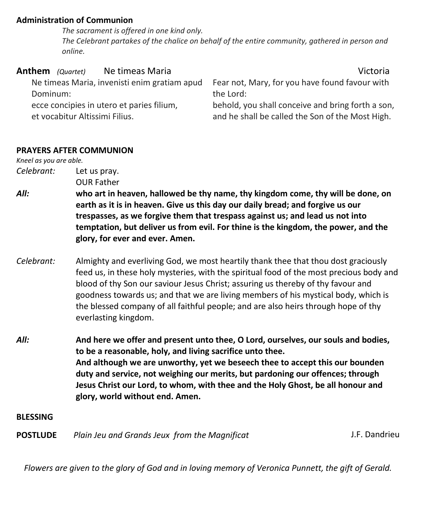#### **Administration of Communion**

 *The sacrament is offered in one kind only. The Celebrant partakes of the chalice on behalf of the entire community, gathered in person and online.*

| <b>Anthem</b> (Quartet) |                                | Ne timeas Maria                              | Victoria                                                                                              |
|-------------------------|--------------------------------|----------------------------------------------|-------------------------------------------------------------------------------------------------------|
|                         |                                | Ne timeas Maria, invenisti enim gratiam apud | Fear not, Mary, for you have found favour with                                                        |
| Dominum:                |                                |                                              | the Lord:                                                                                             |
|                         | et vocabitur Altissimi Filius. | ecce concipies in utero et paries filium,    | behold, you shall conceive and bring forth a son,<br>and he shall be called the Son of the Most High. |

#### **PRAYERS AFTER COMMUNION**

*Kneel as you are able.*

*Celebrant:* Let us pray.

OUR Father

- *All:* **who art in heaven, hallowed be thy name, thy kingdom come, thy will be done, on earth as it is in heaven. Give us this day our daily bread; and forgive us our trespasses, as we forgive them that trespass against us; and lead us not into temptation, but deliver us from evil. For thine is the kingdom, the power, and the glory, for ever and ever. Amen.**
- *Celebrant:* Almighty and everliving God, we most heartily thank thee that thou dost graciously feed us, in these holy mysteries, with the spiritual food of the most precious body and blood of thy Son our saviour Jesus Christ; assuring us thereby of thy favour and goodness towards us; and that we are living members of his mystical body, which is the blessed company of all faithful people; and are also heirs through hope of thy everlasting kingdom.
- *All:* **And here we offer and present unto thee, O Lord, ourselves, our souls and bodies, to be a reasonable, holy, and living sacrifice unto thee. And although we are unworthy, yet we beseech thee to accept this our bounden duty and service, not weighing our merits, but pardoning our offences; through Jesus Christ our Lord, to whom, with thee and the Holy Ghost, be all honour and glory, world without end. Amen.**

#### **BLESSING**

**POSTLUDE** *Plain Jeu and Grands Jeux from the Magnificat*J.F. Dandrieu

Flowers are given to the glory of God and in loving memory of Veronica Punnett, the gift of Gerald.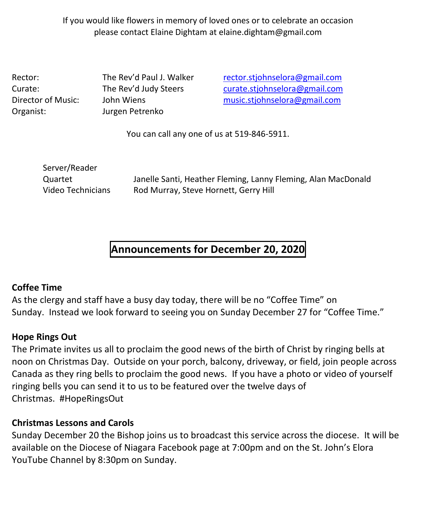If you would like flowers in memory of loved ones or to celebrate an occasion please contact Elaine Dightam at elaine.dightam@gmail.com

Organist: Jurgen Petrenko

Rector: The Rev'd Paul J. Walker [rector.stjohnselora@gmail.com](mailto:rector.stjohnselora@gmail.com) Curate: The Rev'd Judy Steers [curate.stjohnselora@gmail.com](mailto:curate.stjohnselora@gmail.com) Director of Music: John Wiens [music.stjohnselora@gmail.com](mailto:music.stjohnselora@gmail.com)

You can call any one of us at 519-846-5911.

Server/Reader Quartet Janelle Santi, Heather Fleming, Lanny Fleming, Alan MacDonald Video Technicians Rod Murray, Steve Hornett, Gerry Hill

## **Announcements for December 20, 2020**

### **Coffee Time**

As the clergy and staff have a busy day today, there will be no "Coffee Time" on Sunday. Instead we look forward to seeing you on Sunday December 27 for "Coffee Time."

### **Hope Rings Out**

The Primate invites us all to proclaim the good news of the birth of Christ by ringing bells at noon on Christmas Day. Outside on your porch, balcony, driveway, or field, join people across Canada as they ring bells to proclaim the good news. If you have a photo or video of yourself ringing bells you can send it to us to be featured over the twelve days of Christmas. #HopeRingsOut

### **Christmas Lessons and Carols**

Sunday December 20 the Bishop joins us to broadcast this service across the diocese. It will be available on the Diocese of Niagara Facebook page at 7:00pm and on the St. John's Elora YouTube Channel by 8:30pm on Sunday.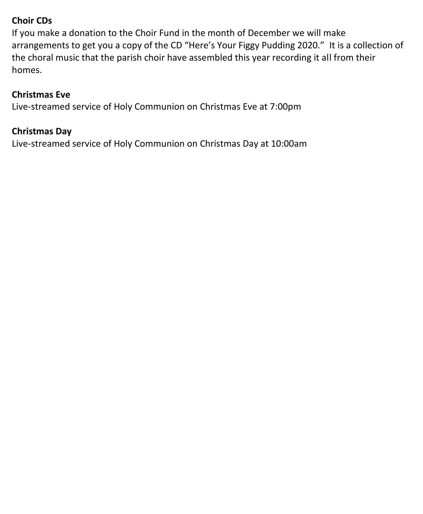### **Choir CDs**

If you make a donation to the Choir Fund in the month of December we will make arrangements to get you a copy of the CD "Here's Your Figgy Pudding 2020." It is a collection of the choral music that the parish choir have assembled this year recording it all from their homes.

#### **Christmas Eve**

Live-streamed service of Holy Communion on Christmas Eve at 7:00pm

#### **Christmas Day**

Live-streamed service of Holy Communion on Christmas Day at 10:00am